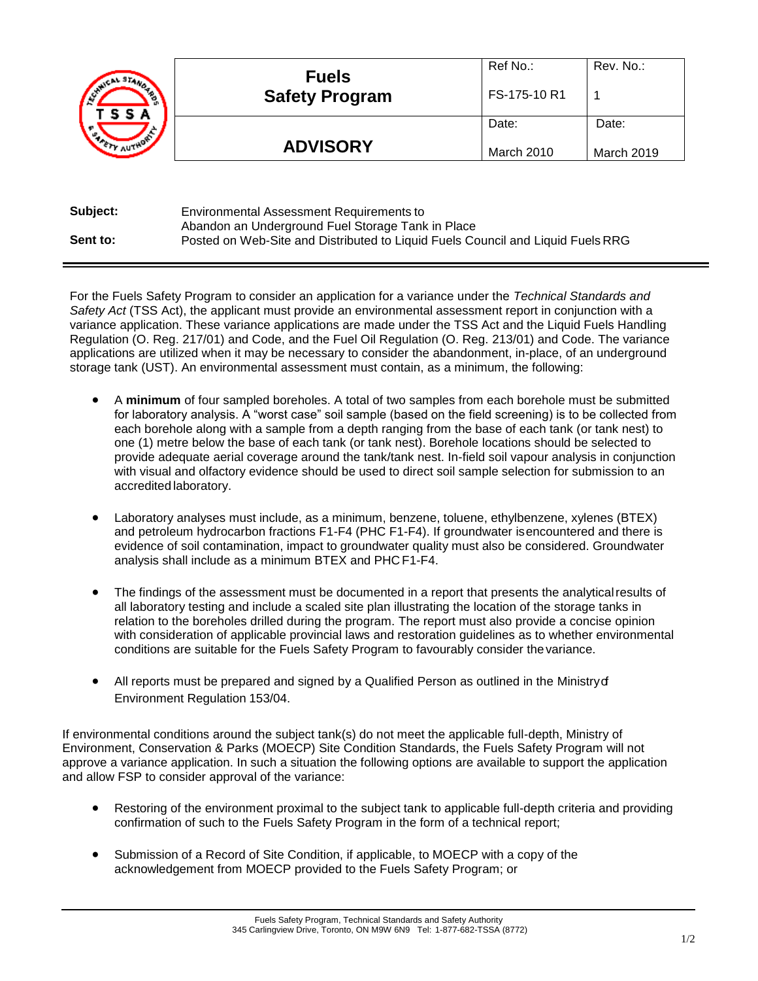| CAL STAN<br>un.<br>TSSA | <b>Fuels</b><br><b>Safety Program</b> | Ref No.:<br>FS-175-10 R1 | Rev. No.:  |
|-------------------------|---------------------------------------|--------------------------|------------|
| υ.                      |                                       | Date:                    | Date:      |
|                         | <b>ADVISORY</b>                       | March 2010               | March 2019 |

| Subject: | Environmental Assessment Requirements to                                        |
|----------|---------------------------------------------------------------------------------|
|          | Abandon an Underground Fuel Storage Tank in Place                               |
| Sent to: | Posted on Web-Site and Distributed to Liquid Fuels Council and Liquid Fuels RRG |

For the Fuels Safety Program to consider an application for a variance under the *Technical Standards and Safety Act* (TSS Act), the applicant must provide an environmental assessment report in conjunction with a variance application. These variance applications are made under the TSS Act and the Liquid Fuels Handling Regulation (O. Reg. 217/01) and Code, and the Fuel Oil Regulation (O. Reg. 213/01) and Code. The variance applications are utilized when it may be necessary to consider the abandonment, in-place, of an underground storage tank (UST). An environmental assessment must contain, as a minimum, the following:

- A **minimum** of four sampled boreholes. A total of two samples from each borehole must be submitted for laboratory analysis. A "worst case" soil sample (based on the field screening) is to be collected from each borehole along with a sample from a depth ranging from the base of each tank (or tank nest) to one (1) metre below the base of each tank (or tank nest). Borehole locations should be selected to provide adequate aerial coverage around the tank/tank nest. In-field soil vapour analysis in conjunction with visual and olfactory evidence should be used to direct soil sample selection for submission to an accredited laboratory.
- Laboratory analyses must include, as a minimum, benzene, toluene, ethylbenzene, xylenes (BTEX) and petroleum hydrocarbon fractions F1-F4 (PHC F1-F4). If groundwater isencountered and there is evidence of soil contamination, impact to groundwater quality must also be considered. Groundwater analysis shall include as a minimum BTEX and PHC F1-F4.
- The findings of the assessment must be documented in a report that presents the analytical results of all laboratory testing and include a scaled site plan illustrating the location of the storage tanks in relation to the boreholes drilled during the program. The report must also provide a concise opinion with consideration of applicable provincial laws and restoration guidelines as to whether environmental conditions are suitable for the Fuels Safety Program to favourably consider thevariance.
- All reports must be prepared and signed by a Qualified Person as outlined in the Ministryd Environment Regulation 153/04.

If environmental conditions around the subject tank(s) do not meet the applicable full-depth, Ministry of Environment, Conservation & Parks (MOECP) Site Condition Standards, the Fuels Safety Program will not approve a variance application. In such a situation the following options are available to support the application and allow FSP to consider approval of the variance:

- Restoring of the environment proximal to the subject tank to applicable full-depth criteria and providing confirmation of such to the Fuels Safety Program in the form of a technical report;
- Submission of a Record of Site Condition, if applicable, to MOECP with a copy of the acknowledgement from MOECP provided to the Fuels Safety Program; or